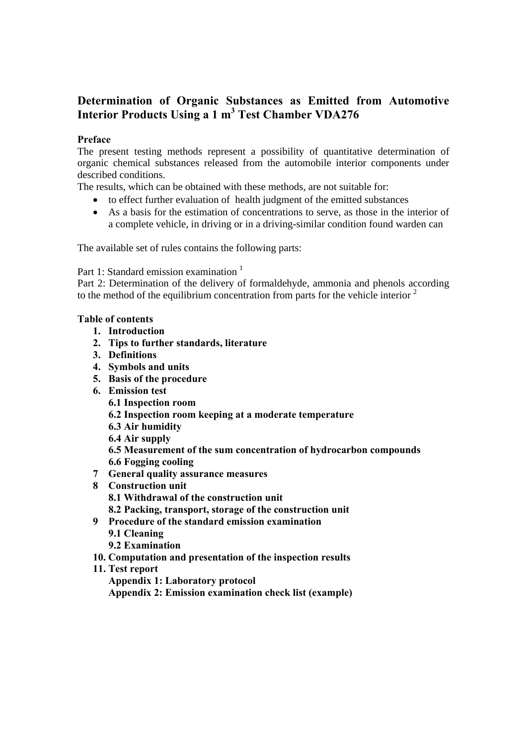## **Determination of Organic Substances as Emitted from Automotive Interior Products Using a 1 m<sup>3</sup> Test Chamber VDA276**

## **Preface**

The present testing methods represent a possibility of quantitative determination of organic chemical substances released from the automobile interior components under described conditions.

The results, which can be obtained with these methods, are not suitable for:

- to effect further evaluation of health judgment of the emitted substances
- As a basis for the estimation of concentrations to serve, as those in the interior of a complete vehicle, in driving or in a driving-similar condition found warden can

The available set of rules contains the following parts:

Part 1: Standard emission examination <sup>1</sup>

Part 2: Determination of the delivery of formaldehyde, ammonia and phenols according to the method of the equilibrium concentration from parts for the vehicle interior  $2$ 

## **Table of contents**

- **1. Introduction**
- **2. Tips to further standards, literature**
- **3. Definitions**
- **4. Symbols and units**
- **5. Basis of the procedure**
- **6. Emission test** 
	- **6.1 Inspection room**
	- **6.2 Inspection room keeping at a moderate temperature**
	- **6.3 Air humidity**
	- **6.4 Air supply**

**6.5 Measurement of the sum concentration of hydrocarbon compounds** 

- **6.6 Fogging cooling**
- **7 General quality assurance measures**
- **8 Construction unit** 
	- **8.1 Withdrawal of the construction unit**
	- **8.2 Packing, transport, storage of the construction unit**
- **9 Procedure of the standard emission examination** 
	- **9.1 Cleaning**
	- **9.2 Examination**
- **10. Computation and presentation of the inspection results**
- **11. Test report** 
	- **Appendix 1: Laboratory protocol**
	- **Appendix 2: Emission examination check list (example)**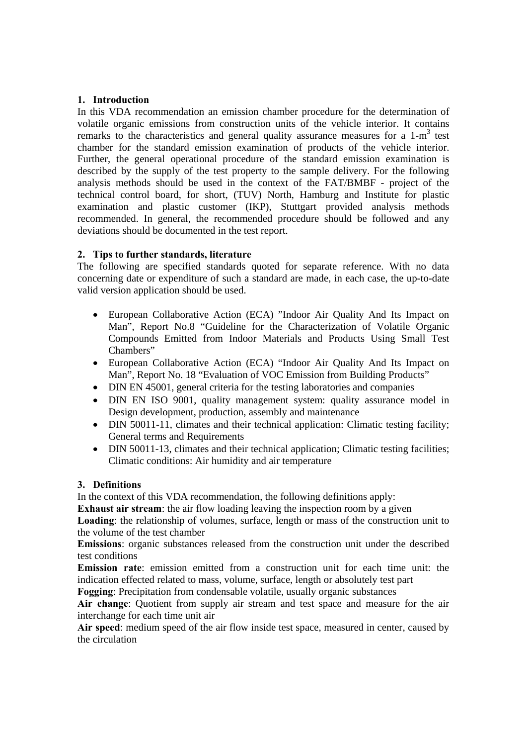## **1. Introduction**

In this VDA recommendation an emission chamber procedure for the determination of volatile organic emissions from construction units of the vehicle interior. It contains remarks to the characteristics and general quality assurance measures for a  $1-m<sup>3</sup>$  test chamber for the standard emission examination of products of the vehicle interior. Further, the general operational procedure of the standard emission examination is described by the supply of the test property to the sample delivery. For the following analysis methods should be used in the context of the FAT/BMBF - project of the technical control board, for short, (TUV) North, Hamburg and Institute for plastic examination and plastic customer (IKP), Stuttgart provided analysis methods recommended. In general, the recommended procedure should be followed and any deviations should be documented in the test report.

## **2. Tips to further standards, literature**

The following are specified standards quoted for separate reference. With no data concerning date or expenditure of such a standard are made, in each case, the up-to-date valid version application should be used.

- European Collaborative Action (ECA) "Indoor Air Quality And Its Impact on Man", Report No.8 "Guideline for the Characterization of Volatile Organic Compounds Emitted from Indoor Materials and Products Using Small Test Chambers"
- European Collaborative Action (ECA) "Indoor Air Quality And Its Impact on Man", Report No. 18 "Evaluation of VOC Emission from Building Products"
- DIN EN 45001, general criteria for the testing laboratories and companies
- DIN EN ISO 9001, quality management system: quality assurance model in Design development, production, assembly and maintenance
- DIN 50011-11, climates and their technical application: Climatic testing facility; General terms and Requirements
- DIN 50011-13, climates and their technical application; Climatic testing facilities; Climatic conditions: Air humidity and air temperature

## **3. Definitions**

In the context of this VDA recommendation, the following definitions apply:

**Exhaust air stream**: the air flow loading leaving the inspection room by a given

**Loading**: the relationship of volumes, surface, length or mass of the construction unit to the volume of the test chamber

**Emissions**: organic substances released from the construction unit under the described test conditions

**Emission rate**: emission emitted from a construction unit for each time unit: the indication effected related to mass, volume, surface, length or absolutely test part

**Fogging**: Precipitation from condensable volatile, usually organic substances

**Air change**: Quotient from supply air stream and test space and measure for the air interchange for each time unit air

**Air speed**: medium speed of the air flow inside test space, measured in center, caused by the circulation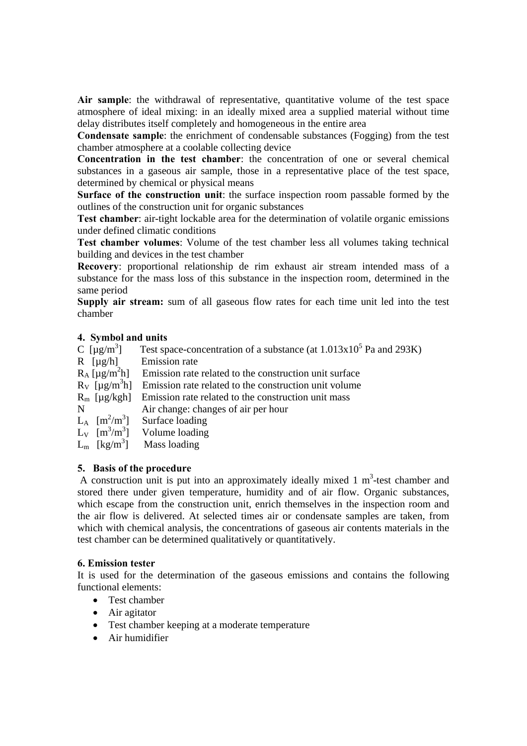**Air sample**: the withdrawal of representative, quantitative volume of the test space atmosphere of ideal mixing: in an ideally mixed area a supplied material without time delay distributes itself completely and homogeneous in the entire area

**Condensate sample**: the enrichment of condensable substances (Fogging) from the test chamber atmosphere at a coolable collecting device

**Concentration in the test chamber**: the concentration of one or several chemical substances in a gaseous air sample, those in a representative place of the test space, determined by chemical or physical means

**Surface of the construction unit**: the surface inspection room passable formed by the outlines of the construction unit for organic substances

**Test chamber**: air-tight lockable area for the determination of volatile organic emissions under defined climatic conditions

**Test chamber volumes**: Volume of the test chamber less all volumes taking technical building and devices in the test chamber

**Recovery**: proportional relationship de rim exhaust air stream intended mass of a substance for the mass loss of this substance in the inspection room, determined in the same period

**Supply air stream:** sum of all gaseous flow rates for each time unit led into the test chamber

## **4. Symbol and units**

| C $\left[\mu\text{g/m}^3\right]$        | Test space-concentration of a substance (at $1.013x10^5$ Pa and 293K) |
|-----------------------------------------|-----------------------------------------------------------------------|
| $R$ [ $\mu$ g/h]                        | <b>Emission</b> rate                                                  |
| $R_A$ [µg/m <sup>2</sup> h]             | Emission rate related to the construction unit surface                |
| $R_V$ [µg/m <sup>3</sup> h]             | Emission rate related to the construction unit volume                 |
| $R_m$ [µg/kgh]                          | Emission rate related to the construction unit mass                   |
| N                                       | Air change: changes of air per hour                                   |
| $L_A$ [m <sup>2</sup> /m <sup>3</sup> ] | Surface loading                                                       |
|                                         | $L_v$ [m <sup>3</sup> /m <sup>3</sup> ] Volume loading                |
| $L_m$ [kg/m <sup>3</sup> ]              | Mass loading                                                          |
|                                         |                                                                       |

## **5. Basis of the procedure**

A construction unit is put into an approximately ideally mixed  $1 \text{ m}^3$ -test chamber and stored there under given temperature, humidity and of air flow. Organic substances, which escape from the construction unit, enrich themselves in the inspection room and the air flow is delivered. At selected times air or condensate samples are taken, from which with chemical analysis, the concentrations of gaseous air contents materials in the test chamber can be determined qualitatively or quantitatively.

#### **6. Emission tester**

It is used for the determination of the gaseous emissions and contains the following functional elements:

- Test chamber
- Air agitator
- Test chamber keeping at a moderate temperature
- Air humidifier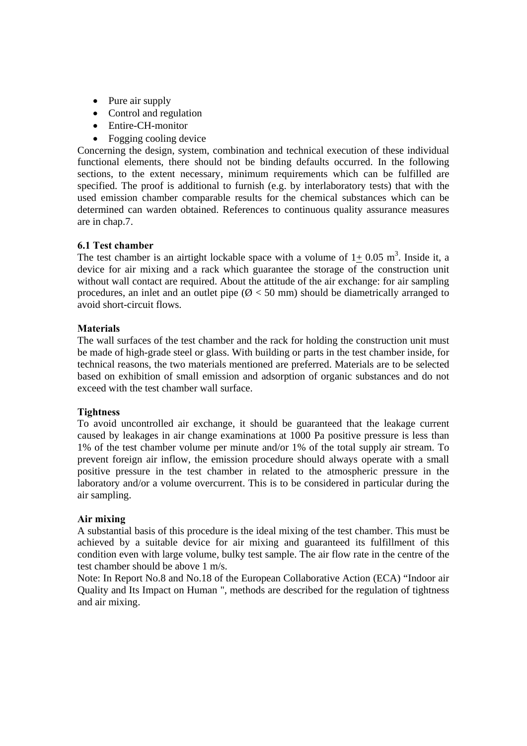- Pure air supply
- Control and regulation
- Entire-CH-monitor
- Fogging cooling device

Concerning the design, system, combination and technical execution of these individual functional elements, there should not be binding defaults occurred. In the following sections, to the extent necessary, minimum requirements which can be fulfilled are specified. The proof is additional to furnish (e.g. by interlaboratory tests) that with the used emission chamber comparable results for the chemical substances which can be determined can warden obtained. References to continuous quality assurance measures are in chap.7.

#### **6.1 Test chamber**

The test chamber is an airtight lockable space with a volume of  $1 \pm 0.05$  m<sup>3</sup>. Inside it, a device for air mixing and a rack which guarantee the storage of the construction unit without wall contact are required. About the attitude of the air exchange: for air sampling procedures, an inlet and an outlet pipe ( $\varnothing$  < 50 mm) should be diametrically arranged to avoid short-circuit flows.

#### **Materials**

The wall surfaces of the test chamber and the rack for holding the construction unit must be made of high-grade steel or glass. With building or parts in the test chamber inside, for technical reasons, the two materials mentioned are preferred. Materials are to be selected based on exhibition of small emission and adsorption of organic substances and do not exceed with the test chamber wall surface.

#### **Tightness**

To avoid uncontrolled air exchange, it should be guaranteed that the leakage current caused by leakages in air change examinations at 1000 Pa positive pressure is less than 1% of the test chamber volume per minute and/or 1% of the total supply air stream. To prevent foreign air inflow, the emission procedure should always operate with a small positive pressure in the test chamber in related to the atmospheric pressure in the laboratory and/or a volume overcurrent. This is to be considered in particular during the air sampling.

#### **Air mixing**

A substantial basis of this procedure is the ideal mixing of the test chamber. This must be achieved by a suitable device for air mixing and guaranteed its fulfillment of this condition even with large volume, bulky test sample. The air flow rate in the centre of the test chamber should be above 1 m/s.

Note: In Report No.8 and No.18 of the European Collaborative Action (ECA) "Indoor air Quality and Its Impact on Human ", methods are described for the regulation of tightness and air mixing.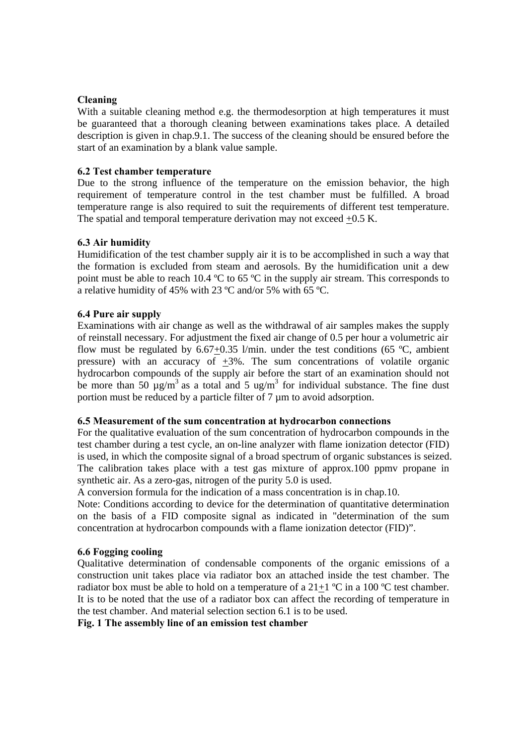## **Cleaning**

With a suitable cleaning method e.g. the thermodesorption at high temperatures it must be guaranteed that a thorough cleaning between examinations takes place. A detailed description is given in chap.9.1. The success of the cleaning should be ensured before the start of an examination by a blank value sample.

#### **6.2 Test chamber temperature**

Due to the strong influence of the temperature on the emission behavior, the high requirement of temperature control in the test chamber must be fulfilled. A broad temperature range is also required to suit the requirements of different test temperature. The spatial and temporal temperature derivation may not exceed +0.5 K.

#### **6.3 Air humidity**

Humidification of the test chamber supply air it is to be accomplished in such a way that the formation is excluded from steam and aerosols. By the humidification unit a dew point must be able to reach 10.4 ºC to 65 ºC in the supply air stream. This corresponds to a relative humidity of 45% with 23 ºC and/or 5% with 65 ºC.

#### **6.4 Pure air supply**

Examinations with air change as well as the withdrawal of air samples makes the supply of reinstall necessary. For adjustment the fixed air change of 0.5 per hour a volumetric air flow must be regulated by  $6.67+0.35$  l/min. under the test conditions (65 °C, ambient pressure) with an accuracy of  $\pm 3\%$ . The sum concentrations of volatile organic hydrocarbon compounds of the supply air before the start of an examination should not be more than 50  $\mu$ g/m<sup>3</sup> as a total and 5 ug/m<sup>3</sup> for individual substance. The fine dust portion must be reduced by a particle filter of 7 um to avoid adsorption.

#### **6.5 Measurement of the sum concentration at hydrocarbon connections**

For the qualitative evaluation of the sum concentration of hydrocarbon compounds in the test chamber during a test cycle, an on-line analyzer with flame ionization detector (FID) is used, in which the composite signal of a broad spectrum of organic substances is seized. The calibration takes place with a test gas mixture of approx.100 ppmv propane in synthetic air. As a zero-gas, nitrogen of the purity 5.0 is used.

A conversion formula for the indication of a mass concentration is in chap.10.

Note: Conditions according to device for the determination of quantitative determination on the basis of a FID composite signal as indicated in "determination of the sum concentration at hydrocarbon compounds with a flame ionization detector (FID)".

#### **6.6 Fogging cooling**

Qualitative determination of condensable components of the organic emissions of a construction unit takes place via radiator box an attached inside the test chamber. The radiator box must be able to hold on a temperature of a  $21+1$  °C in a 100 °C test chamber. It is to be noted that the use of a radiator box can affect the recording of temperature in the test chamber. And material selection section 6.1 is to be used.

**Fig. 1 The assembly line of an emission test chamber**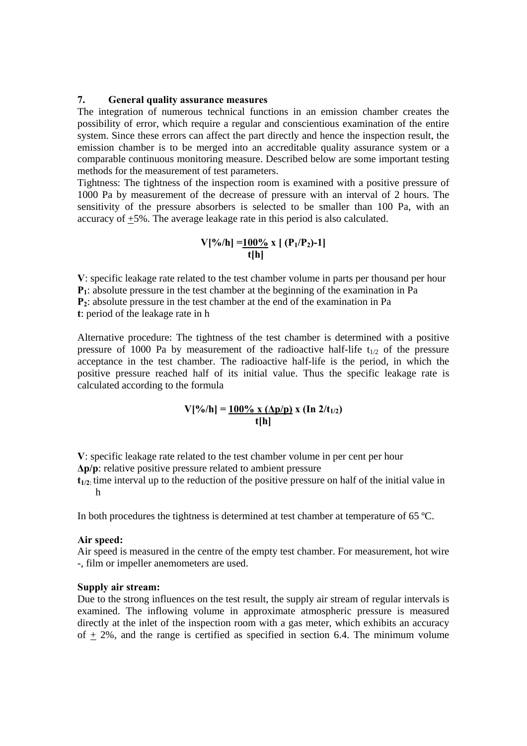#### **7. General quality assurance measures**

The integration of numerous technical functions in an emission chamber creates the possibility of error, which require a regular and conscientious examination of the entire system. Since these errors can affect the part directly and hence the inspection result, the emission chamber is to be merged into an accreditable quality assurance system or a comparable continuous monitoring measure. Described below are some important testing methods for the measurement of test parameters.

Tightness: The tightness of the inspection room is examined with a positive pressure of 1000 Pa by measurement of the decrease of pressure with an interval of 2 hours. The sensitivity of the pressure absorbers is selected to be smaller than 100 Pa, with an accuracy of +5%. The average leakage rate in this period is also calculated.

$$
V[%/h] = \frac{100\%}{t[h]}
$$

**V**: specific leakage rate related to the test chamber volume in parts per thousand per hour **P1**: absolute pressure in the test chamber at the beginning of the examination in Pa **P2**: absolute pressure in the test chamber at the end of the examination in Pa **t**: period of the leakage rate in h

Alternative procedure: The tightness of the test chamber is determined with a positive pressure of 1000 Pa by measurement of the radioactive half-life  $t_{1/2}$  of the pressure acceptance in the test chamber. The radioactive half-life is the period, in which the positive pressure reached half of its initial value. Thus the specific leakage rate is calculated according to the formula

$$
V[%/h] = \frac{100\% \times (\Delta p/p)}{t[h]} \times (In 2/t_{1/2})
$$

**V**: specific leakage rate related to the test chamber volume in per cent per hour

**Δp/p**: relative positive pressure related to ambient pressure

 $t_{1/2}$  time interval up to the reduction of the positive pressure on half of the initial value in h

In both procedures the tightness is determined at test chamber at temperature of 65 °C.

#### **Air speed:**

Air speed is measured in the centre of the empty test chamber. For measurement, hot wire -, film or impeller anemometers are used.

#### **Supply air stream:**

Due to the strong influences on the test result, the supply air stream of regular intervals is examined. The inflowing volume in approximate atmospheric pressure is measured directly at the inlet of the inspection room with a gas meter, which exhibits an accuracy of  $+2\%$ , and the range is certified as specified in section 6.4. The minimum volume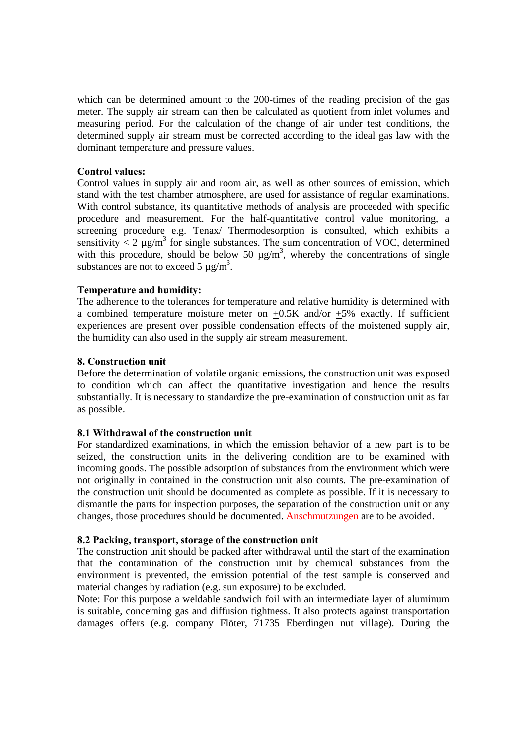which can be determined amount to the 200-times of the reading precision of the gas meter. The supply air stream can then be calculated as quotient from inlet volumes and measuring period. For the calculation of the change of air under test conditions, the determined supply air stream must be corrected according to the ideal gas law with the dominant temperature and pressure values.

## **Control values:**

Control values in supply air and room air, as well as other sources of emission, which stand with the test chamber atmosphere, are used for assistance of regular examinations. With control substance, its quantitative methods of analysis are proceeded with specific procedure and measurement. For the half-quantitative control value monitoring, a screening procedure e.g. Tenax/ Thermodesorption is consulted, which exhibits a sensitivity  $\langle 2 \mu g/m^3$  for single substances. The sum concentration of VOC, determined with this procedure, should be below 50  $\mu$ g/m<sup>3</sup>, whereby the concentrations of single substances are not to exceed 5  $\mu$ g/m<sup>3</sup>.

#### **Temperature and humidity:**

The adherence to the tolerances for temperature and relative humidity is determined with a combined temperature moisture meter on  $\pm 0.5$ K and/or  $\pm 5$ % exactly. If sufficient experiences are present over possible condensation effects of the moistened supply air, the humidity can also used in the supply air stream measurement.

#### **8. Construction unit**

Before the determination of volatile organic emissions, the construction unit was exposed to condition which can affect the quantitative investigation and hence the results substantially. It is necessary to standardize the pre-examination of construction unit as far as possible.

#### **8.1 Withdrawal of the construction unit**

For standardized examinations, in which the emission behavior of a new part is to be seized, the construction units in the delivering condition are to be examined with incoming goods. The possible adsorption of substances from the environment which were not originally in contained in the construction unit also counts. The pre-examination of the construction unit should be documented as complete as possible. If it is necessary to dismantle the parts for inspection purposes, the separation of the construction unit or any changes, those procedures should be documented. Anschmutzungen are to be avoided.

#### **8.2 Packing, transport, storage of the construction unit**

The construction unit should be packed after withdrawal until the start of the examination that the contamination of the construction unit by chemical substances from the environment is prevented, the emission potential of the test sample is conserved and material changes by radiation (e.g. sun exposure) to be excluded.

Note: For this purpose a weldable sandwich foil with an intermediate layer of aluminum is suitable, concerning gas and diffusion tightness. It also protects against transportation damages offers (e.g. company Flöter, 71735 Eberdingen nut village). During the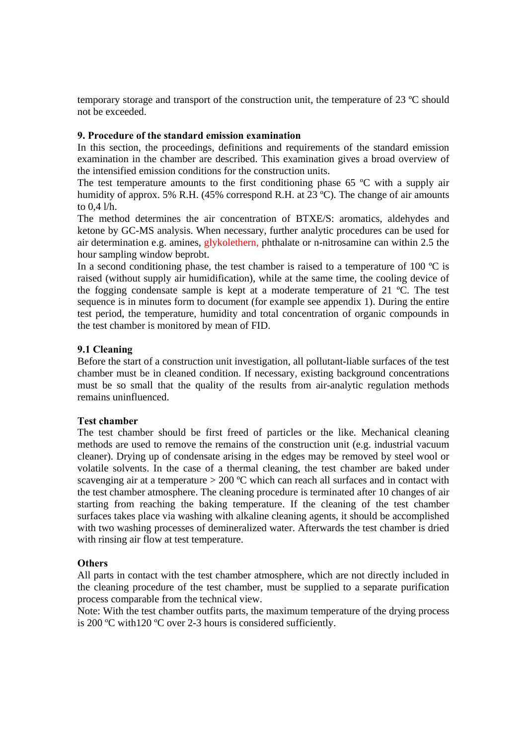temporary storage and transport of the construction unit, the temperature of 23 ºC should not be exceeded.

#### **9. Procedure of the standard emission examination**

In this section, the proceedings, definitions and requirements of the standard emission examination in the chamber are described. This examination gives a broad overview of the intensified emission conditions for the construction units.

The test temperature amounts to the first conditioning phase 65 °C with a supply air humidity of approx. 5% R.H. (45% correspond R.H. at 23 °C). The change of air amounts to 0,4 l/h.

The method determines the air concentration of BTXE/S: aromatics, aldehydes and ketone by GC-MS analysis. When necessary, further analytic procedures can be used for air determination e.g. amines, glykolethern, phthalate or n-nitrosamine can within 2.5 the hour sampling window beprobt.

In a second conditioning phase, the test chamber is raised to a temperature of 100  $^{\circ}$ C is raised (without supply air humidification), while at the same time, the cooling device of the fogging condensate sample is kept at a moderate temperature of 21 ºC. The test sequence is in minutes form to document (for example see appendix 1). During the entire test period, the temperature, humidity and total concentration of organic compounds in the test chamber is monitored by mean of FID.

## **9.1 Cleaning**

Before the start of a construction unit investigation, all pollutant-liable surfaces of the test chamber must be in cleaned condition. If necessary, existing background concentrations must be so small that the quality of the results from air-analytic regulation methods remains uninfluenced.

## **Test chamber**

The test chamber should be first freed of particles or the like. Mechanical cleaning methods are used to remove the remains of the construction unit (e.g. industrial vacuum cleaner). Drying up of condensate arising in the edges may be removed by steel wool or volatile solvents. In the case of a thermal cleaning, the test chamber are baked under scavenging air at a temperature  $> 200$  °C which can reach all surfaces and in contact with the test chamber atmosphere. The cleaning procedure is terminated after 10 changes of air starting from reaching the baking temperature. If the cleaning of the test chamber surfaces takes place via washing with alkaline cleaning agents, it should be accomplished with two washing processes of demineralized water. Afterwards the test chamber is dried with rinsing air flow at test temperature.

## **Others**

All parts in contact with the test chamber atmosphere, which are not directly included in the cleaning procedure of the test chamber, must be supplied to a separate purification process comparable from the technical view.

Note: With the test chamber outfits parts, the maximum temperature of the drying process is 200 ºC with120 ºC over 2-3 hours is considered sufficiently.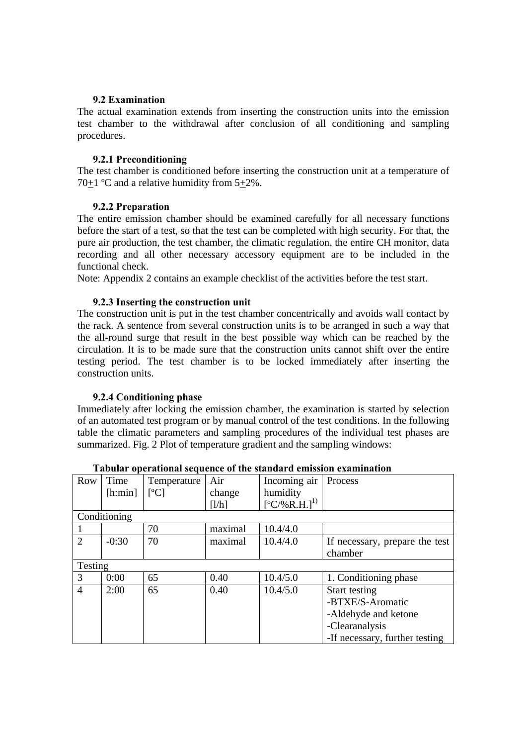#### **9.2 Examination**

The actual examination extends from inserting the construction units into the emission test chamber to the withdrawal after conclusion of all conditioning and sampling procedures.

#### **9.2.1 Preconditioning**

The test chamber is conditioned before inserting the construction unit at a temperature of 70+1 ºC and a relative humidity from 5+2%.

#### **9.2.2 Preparation**

The entire emission chamber should be examined carefully for all necessary functions before the start of a test, so that the test can be completed with high security. For that, the pure air production, the test chamber, the climatic regulation, the entire CH monitor, data recording and all other necessary accessory equipment are to be included in the functional check.

Note: Appendix 2 contains an example checklist of the activities before the test start.

#### **9.2.3 Inserting the construction unit**

The construction unit is put in the test chamber concentrically and avoids wall contact by the rack. A sentence from several construction units is to be arranged in such a way that the all-round surge that result in the best possible way which can be reached by the circulation. It is to be made sure that the construction units cannot shift over the entire testing period. The test chamber is to be locked immediately after inserting the construction units.

## **9.2.4 Conditioning phase**

Immediately after locking the emission chamber, the examination is started by selection of an automated test program or by manual control of the test conditions. In the following table the climatic parameters and sampling procedures of the individual test phases are summarized. Fig. 2 Plot of temperature gradient and the sampling windows:

|                | таријат брстанопат зедиснес от ніс зіаниати спизмон сланниацоп |             |         |                    |                                |  |
|----------------|----------------------------------------------------------------|-------------|---------|--------------------|--------------------------------|--|
| Row            | Time                                                           | Temperature | Air     | Incoming air       | Process                        |  |
|                | $[$ h:min $]$                                                  | [°C]        | change  | humidity           |                                |  |
|                |                                                                |             | [1/h]   | $[°C/\%R.H.]^{1)}$ |                                |  |
|                | Conditioning                                                   |             |         |                    |                                |  |
|                |                                                                | 70          | maximal | 10.4/4.0           |                                |  |
| $\overline{2}$ | $-0:30$                                                        | 70          | maximal | 10.4/4.0           | If necessary, prepare the test |  |
|                |                                                                |             |         |                    | chamber                        |  |
| Testing        |                                                                |             |         |                    |                                |  |
| 3              | 0:00                                                           | 65          | 0.40    | 10.4/5.0           | 1. Conditioning phase          |  |
| 4              | 2:00                                                           | 65          | 0.40    | 10.4/5.0           | Start testing                  |  |
|                |                                                                |             |         |                    | -BTXE/S-Aromatic               |  |
|                |                                                                |             |         |                    | -Aldehyde and ketone           |  |
|                |                                                                |             |         |                    | -Clearanalysis                 |  |
|                |                                                                |             |         |                    | -If necessary, further testing |  |

**Tabular operational sequence of the standard emission examination**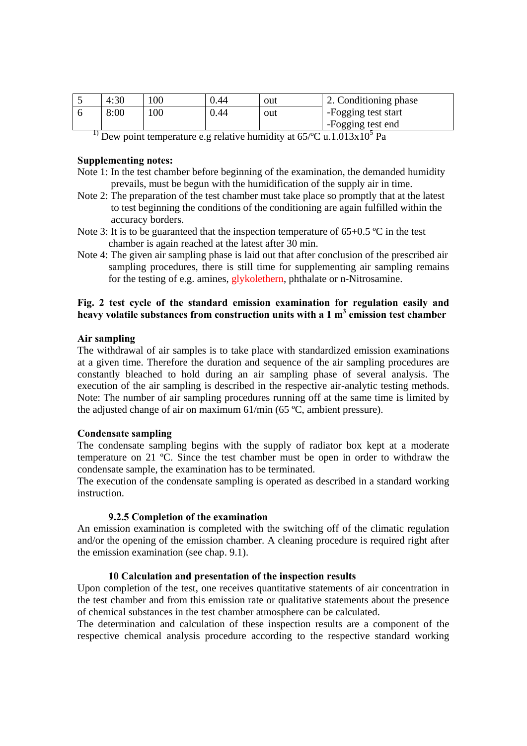| 4:30 | 100 | 0.44 | out | 2. Conditioning phase |
|------|-----|------|-----|-----------------------|
| 8:00 | 100 | 0.44 | out | -Fogging test start   |
|      |     |      |     | -Fogging test end     |
|      |     |      |     |                       |

<sup>1)</sup> Dew point temperature e.g relative humidity at  $65\degree C$  u.1.013x10<sup>5</sup> Pa

#### **Supplementing notes:**

- Note 1: In the test chamber before beginning of the examination, the demanded humidity prevails, must be begun with the humidification of the supply air in time.
- Note 2: The preparation of the test chamber must take place so promptly that at the latest to test beginning the conditions of the conditioning are again fulfilled within the accuracy borders.
- Note 3: It is to be guaranteed that the inspection temperature of  $65+0.5$  °C in the test chamber is again reached at the latest after 30 min.
- Note 4: The given air sampling phase is laid out that after conclusion of the prescribed air sampling procedures, there is still time for supplementing air sampling remains for the testing of e.g. amines, glykolethern, phthalate or n-Nitrosamine.

## **Fig. 2 test cycle of the standard emission examination for regulation easily and**  heavy volatile substances from construction units with a 1 m<sup>3</sup> emission test chamber

#### **Air sampling**

The withdrawal of air samples is to take place with standardized emission examinations at a given time. Therefore the duration and sequence of the air sampling procedures are constantly bleached to hold during an air sampling phase of several analysis. The execution of the air sampling is described in the respective air-analytic testing methods. Note: The number of air sampling procedures running off at the same time is limited by the adjusted change of air on maximum 61/min (65 ºC, ambient pressure).

#### **Condensate sampling**

The condensate sampling begins with the supply of radiator box kept at a moderate temperature on 21 ºC. Since the test chamber must be open in order to withdraw the condensate sample, the examination has to be terminated.

The execution of the condensate sampling is operated as described in a standard working instruction.

#### **9.2.5 Completion of the examination**

An emission examination is completed with the switching off of the climatic regulation and/or the opening of the emission chamber. A cleaning procedure is required right after the emission examination (see chap. 9.1).

#### **10 Calculation and presentation of the inspection results**

Upon completion of the test, one receives quantitative statements of air concentration in the test chamber and from this emission rate or qualitative statements about the presence of chemical substances in the test chamber atmosphere can be calculated.

The determination and calculation of these inspection results are a component of the respective chemical analysis procedure according to the respective standard working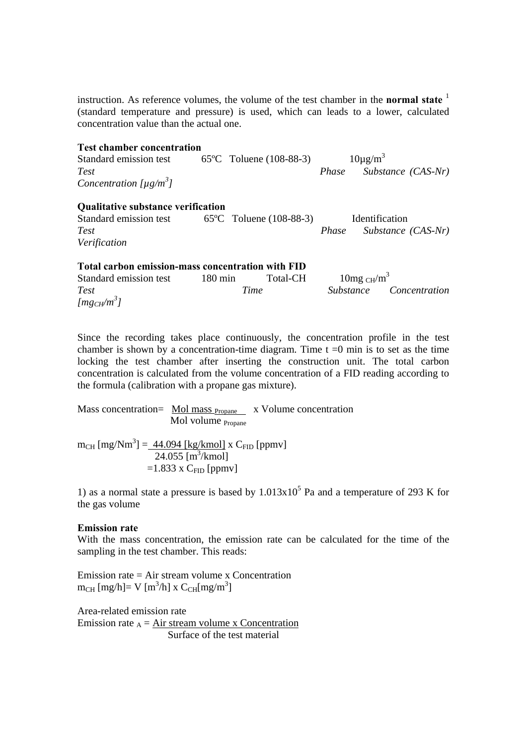instruction. As reference volumes, the volume of the test chamber in the **normal state** <sup>1</sup> (standard temperature and pressure) is used, which can leads to a lower, calculated concentration value than the actual one.

| <b>Test chamber concentration</b>                 |          |       |                      |                         |
|---------------------------------------------------|----------|-------|----------------------|-------------------------|
| Standard emission test 65°C Toluene (108-88-3)    |          |       | $10\mu\text{g/m}^3$  |                         |
| <b>Test</b>                                       |          | Phase |                      | Substance (CAS-Nr)      |
| Concentration $[\mu g/m^3]$                       |          |       |                      |                         |
| <b>Qualitative substance verification</b>         |          |       |                      |                         |
| Standard emission test 65°C Toluene (108-88-3)    |          |       | Identification       |                         |
| <b>Test</b>                                       |          | Phase |                      | Substance (CAS-Nr)      |
| Verification                                      |          |       |                      |                         |
| Total carbon emission-mass concentration with FID |          |       |                      |                         |
| Standard emission test 180 min                    | Total-CH |       | 10mg $\text{CH/m}^3$ |                         |
| <b>Test</b>                                       | Time     |       |                      | Substance Concentration |

Since the recording takes place continuously, the concentration profile in the test chamber is shown by a concentration-time diagram. Time  $t = 0$  min is to set as the time locking the test chamber after inserting the construction unit. The total carbon concentration is calculated from the volume concentration of a FID reading according to the formula (calibration with a propane gas mixture).

Mass concentration=  $\frac{\text{Mol mass}_{\text{Propane}}}{\text{Mol mass}}$  x Volume concentration Mol volume Propane

 $m_{\text{CH}}$  [mg/Nm<sup>3</sup>] =  $\frac{44.094$  [kg/kmol] x C<sub>FID</sub> [ppmv]  $24.055$  [m<sup>3</sup>/kmol]  $=1.833$  x C<sub>FID</sub> [ppmv]

1) as a normal state a pressure is based by  $1.013x10<sup>5</sup>$  Pa and a temperature of 293 K for the gas volume

#### **Emission rate**

*[mgCH/m<sup>3</sup> ]* 

With the mass concentration, the emission rate can be calculated for the time of the sampling in the test chamber. This reads:

Emission rate = Air stream volume x Concentration  $m_{CH}$  [mg/h]= V [m<sup>3</sup>/h] x  $C_{CH}$ [mg/m<sup>3</sup>]

Area-related emission rate Emission rate  $_A$  = Air stream volume x Concentration Surface of the test material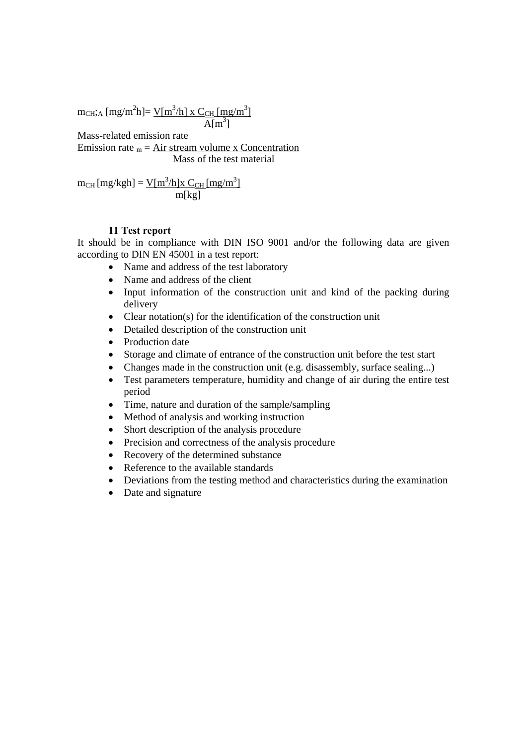$m_{\text{CH}};_{\text{A}} \text{ [mg/m}^2\text{h]} = \frac{\text{V} \text{[m}^3/\text{h} \text{]} \times \text{C}_{\text{CH}} \text{[mg/m}^3 \text{]}}{1 - \frac{\text{V} \text{[m} \text{[m} \text{]}}{\text{[m]} \text{[m]} \cdot \text{[m]} \cdot \text{[m]} \cdot \text{[m]} \cdot \text{[m]} \cdot \text{[m]} \cdot \text{[m]} \cdot \text{[m]} \cdot \text{[m]} \cdot \text{[m]} \cdot \text{[m]} \cdot \text{[m]} \cdot \text{[m]} \cdot \text{$  $A[m^3]$  $Alm<sup>3</sup>$ ]

Mass-related emission rate

Emission rate  $_m = Air stream volume x$  Concentration Mass of the test material

$$
m_{CH} [mg/kgh] = \frac{V[m^3/h]x C_{CH} [mg/m^3]}{m[kg]}
$$

## **11 Test report**

It should be in compliance with DIN ISO 9001 and/or the following data are given according to DIN EN 45001 in a test report:

- Name and address of the test laboratory
- Name and address of the client
- Input information of the construction unit and kind of the packing during delivery
- Clear notation(s) for the identification of the construction unit
- Detailed description of the construction unit
- Production date
- Storage and climate of entrance of the construction unit before the test start
- Changes made in the construction unit (e.g. disassembly, surface sealing...)
- Test parameters temperature, humidity and change of air during the entire test period
- Time, nature and duration of the sample/sampling
- Method of analysis and working instruction
- Short description of the analysis procedure
- Precision and correctness of the analysis procedure
- Recovery of the determined substance
- Reference to the available standards
- Deviations from the testing method and characteristics during the examination
- Date and signature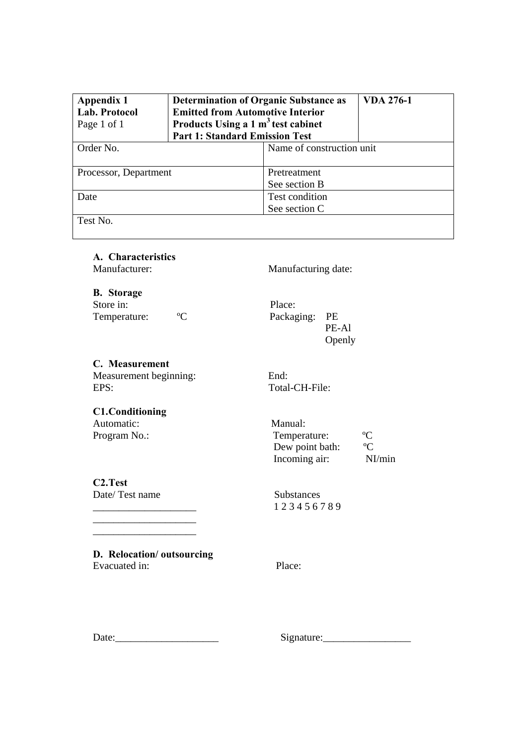| Appendix 1<br>Lab. Protocol<br>Page 1 of 1 | <b>Determination of Organic Substance as</b><br><b>Emitted from Automotive Interior</b><br>Products Using a 1 m <sup>3</sup> test cabinet<br><b>Part 1: Standard Emission Test</b> | <b>VDA 276-1</b>          |  |  |
|--------------------------------------------|------------------------------------------------------------------------------------------------------------------------------------------------------------------------------------|---------------------------|--|--|
| Order No.                                  |                                                                                                                                                                                    | Name of construction unit |  |  |
|                                            |                                                                                                                                                                                    |                           |  |  |
| Processor, Department                      |                                                                                                                                                                                    | Pretreatment              |  |  |
|                                            |                                                                                                                                                                                    | See section B             |  |  |
| Date                                       |                                                                                                                                                                                    | <b>Test condition</b>     |  |  |
|                                            |                                                                                                                                                                                    | See section C             |  |  |
| Test No.                                   |                                                                                                                                                                                    |                           |  |  |

**A. Characteristics** 

Manufacturer: Manufacturing date:

**B. Storage**  Store in: Place:<br>
Temperature:  ${}^{\circ}C$  Package

Packaging: PE<br>PE-Al PE-Al Openly

**C. Measurement**  Measurement beginning: End: EPS: Total-CH-File:

**C1. Conditioning**  Automatic: Manual:

Program No.: Temperature:  $\degree$ C Dew point bath:  $\rm ^{°}C$ Incoming air: NI/min

**C2. Test**  Date/Test name Substances

\_\_\_\_\_\_\_\_\_\_\_\_\_\_\_\_\_\_\_\_ 1 2 3 4 5 6 7 8 9

**D. Relocation/ outsourcing**  Evacuated in: Place:

\_\_\_\_\_\_\_\_\_\_\_\_\_\_\_\_\_\_\_\_  $\frac{1}{2}$ 

Date:\_\_\_\_\_\_\_\_\_\_\_\_\_\_\_\_\_\_\_\_ Signature:\_\_\_\_\_\_\_\_\_\_\_\_\_\_\_\_\_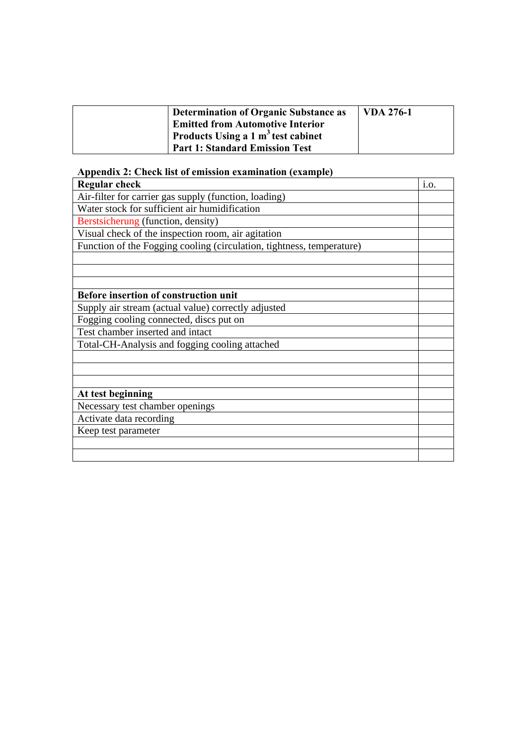| Determination of Organic Substance as   | <b>VDA 276-1</b> |
|-----------------------------------------|------------------|
| <b>Emitted from Automotive Interior</b> |                  |
| Products Using a 1 $m3$ test cabinet    |                  |
| <b>Part 1: Standard Emission Test</b>   |                  |

# **Appendix 2: Check list of emission examination (example)**

| <b>Regular check</b>                                                  | i.o. |
|-----------------------------------------------------------------------|------|
| Air-filter for carrier gas supply (function, loading)                 |      |
| Water stock for sufficient air humidification                         |      |
| Berstsicherung (function, density)                                    |      |
| Visual check of the inspection room, air agitation                    |      |
| Function of the Fogging cooling (circulation, tightness, temperature) |      |
|                                                                       |      |
|                                                                       |      |
|                                                                       |      |
| Before insertion of construction unit                                 |      |
| Supply air stream (actual value) correctly adjusted                   |      |
| Fogging cooling connected, discs put on                               |      |
| Test chamber inserted and intact                                      |      |
| Total-CH-Analysis and fogging cooling attached                        |      |
|                                                                       |      |
|                                                                       |      |
|                                                                       |      |
| At test beginning                                                     |      |
| Necessary test chamber openings                                       |      |
| Activate data recording                                               |      |
| Keep test parameter                                                   |      |
|                                                                       |      |
|                                                                       |      |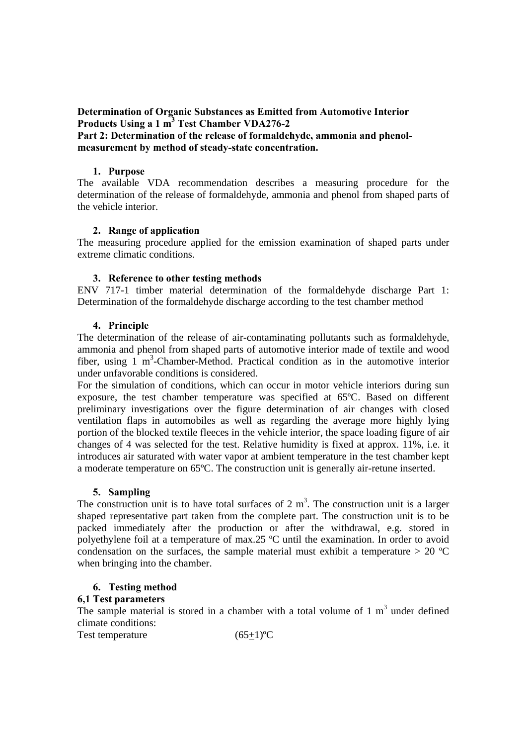**Determination of Organic Substances as Emitted from Automotive Interior Products Using a 1 m<sup>3</sup> Test Chamber VDA276-2** 

## **Part 2: Determination of the release of formaldehyde, ammonia and phenolmeasurement by method of steady-state concentration.**

#### **1. Purpose**

The available VDA recommendation describes a measuring procedure for the determination of the release of formaldehyde, ammonia and phenol from shaped parts of the vehicle interior.

## **2. Range of application**

The measuring procedure applied for the emission examination of shaped parts under extreme climatic conditions.

## **3. Reference to other testing methods**

ENV 717-1 timber material determination of the formaldehyde discharge Part 1: Determination of the formaldehyde discharge according to the test chamber method

## **4. Principle**

The determination of the release of air-contaminating pollutants such as formaldehyde, ammonia and phenol from shaped parts of automotive interior made of textile and wood fiber, using  $1 \text{ m}^3$ -Chamber-Method. Practical condition as in the automotive interior under unfavorable conditions is considered.

For the simulation of conditions, which can occur in motor vehicle interiors during sun exposure, the test chamber temperature was specified at 65ºC. Based on different preliminary investigations over the figure determination of air changes with closed ventilation flaps in automobiles as well as regarding the average more highly lying portion of the blocked textile fleeces in the vehicle interior, the space loading figure of air changes of 4 was selected for the test. Relative humidity is fixed at approx. 11%, i.e. it introduces air saturated with water vapor at ambient temperature in the test chamber kept a moderate temperature on 65ºC. The construction unit is generally air-retune inserted.

## **5. Sampling**

The construction unit is to have total surfaces of 2  $m<sup>3</sup>$ . The construction unit is a larger shaped representative part taken from the complete part. The construction unit is to be packed immediately after the production or after the withdrawal, e.g. stored in polyethylene foil at a temperature of max.25 ºC until the examination. In order to avoid condensation on the surfaces, the sample material must exhibit a temperature  $> 20$  °C when bringing into the chamber.

## **6. Testing method**

## **6,1 Test parameters**

The sample material is stored in a chamber with a total volume of  $1 \text{ m}^3$  under defined climate conditions:

Test temperature  $(65+1)$ <sup>o</sup>C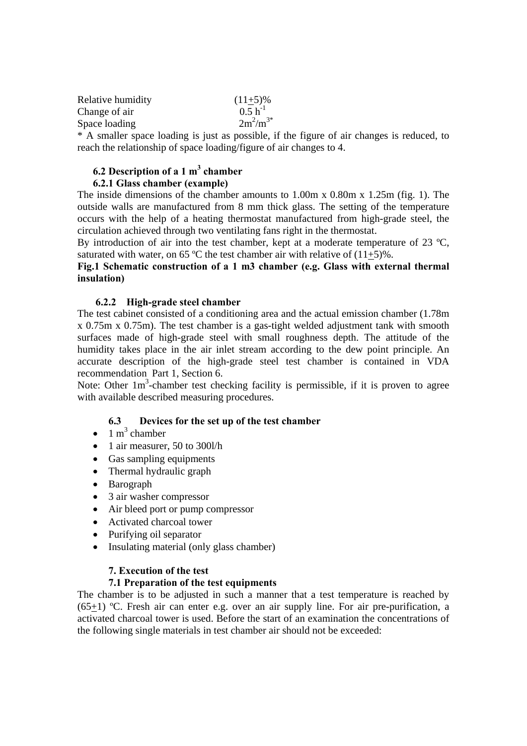| Relative humidity | $(11+5)\%$    |
|-------------------|---------------|
| Change of air     | $0.5 h^{-1}$  |
| Space loading     | $2m^2/m^{3*}$ |
|                   |               |

\* A smaller space loading is just as possible, if the figure of air changes is reduced, to reach the relationship of space loading/figure of air changes to 4.

## **6.2 Description of a 1 m<sup>3</sup> chamber**

## **6.2.1 Glass chamber (example)**

The inside dimensions of the chamber amounts to 1.00m x 0.80m x 1.25m (fig. 1). The outside walls are manufactured from 8 mm thick glass. The setting of the temperature occurs with the help of a heating thermostat manufactured from high-grade steel, the circulation achieved through two ventilating fans right in the thermostat.

By introduction of air into the test chamber, kept at a moderate temperature of 23 °C, saturated with water, on 65 °C the test chamber air with relative of  $(11+5)$ %.

## **Fig.1 Schematic construction of a 1 m3 chamber (e.g. Glass with external thermal insulation)**

#### **6.2.2 High-grade steel chamber**

The test cabinet consisted of a conditioning area and the actual emission chamber (1.78m x 0.75m x 0.75m). The test chamber is a gas-tight welded adjustment tank with smooth surfaces made of high-grade steel with small roughness depth. The attitude of the humidity takes place in the air inlet stream according to the dew point principle. An accurate description of the high-grade steel test chamber is contained in VDA recommendation Part 1, Section 6.

Note: Other  $1m<sup>3</sup>$ -chamber test checking facility is permissible, if it is proven to agree with available described measuring procedures.

## **6.3 Devices for the set up of the test chamber**

- $\bullet$  1 m<sup>3</sup> chamber
- 1 air measurer, 50 to 300l/h
- Gas sampling equipments
- Thermal hydraulic graph
- Barograph
- 3 air washer compressor
- Air bleed port or pump compressor
- Activated charcoal tower
- Purifying oil separator
- Insulating material (only glass chamber)

#### **7. Execution of the test**

## **7.1 Preparation of the test equipments**

The chamber is to be adjusted in such a manner that a test temperature is reached by (65+1) ºC. Fresh air can enter e.g. over an air supply line. For air pre-purification, a activated charcoal tower is used. Before the start of an examination the concentrations of the following single materials in test chamber air should not be exceeded: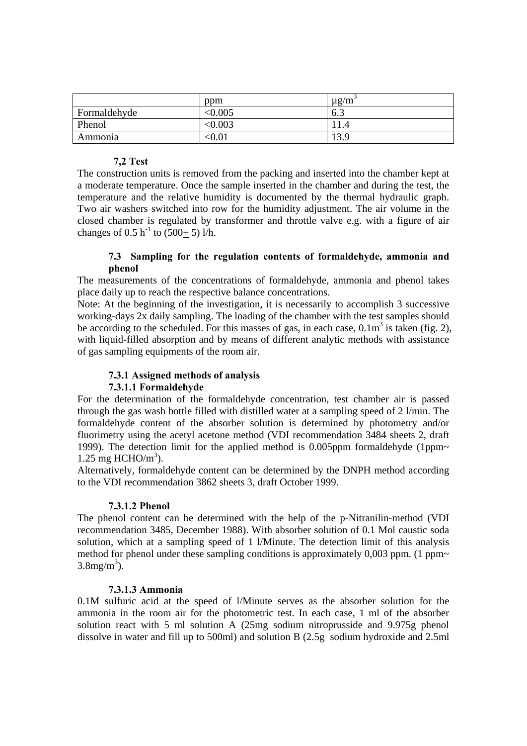|              | ppm          | $\mu$ g/m |
|--------------|--------------|-----------|
| Formaldehyde | < 0.005      | 6.3       |
| Phenol       | $<\!\!0.003$ |           |
| Ammonia      | $<\!\!0.01$  | 13.9      |

## **7,2 Test**

The construction units is removed from the packing and inserted into the chamber kept at a moderate temperature. Once the sample inserted in the chamber and during the test, the temperature and the relative humidity is documented by the thermal hydraulic graph. Two air washers switched into row for the humidity adjustment. The air volume in the closed chamber is regulated by transformer and throttle valve e.g. with a figure of air changes of 0.5 h<sup>-1</sup> to (500+ 5) l/h.

## **7.3 Sampling for the regulation contents of formaldehyde, ammonia and phenol**

The measurements of the concentrations of formaldehyde, ammonia and phenol takes place daily up to reach the respective balance concentrations.

Note: At the beginning of the investigation, it is necessarily to accomplish 3 successive working-days 2x daily sampling. The loading of the chamber with the test samples should be according to the scheduled. For this masses of gas, in each case,  $0.1 \text{m}^3$  is taken (fig. 2), with liquid-filled absorption and by means of different analytic methods with assistance of gas sampling equipments of the room air.

## **7.3.1 Assigned methods of analysis**

## **7.3.1.1 Formaldehyde**

For the determination of the formaldehyde concentration, test chamber air is passed through the gas wash bottle filled with distilled water at a sampling speed of 2 l/min. The formaldehyde content of the absorber solution is determined by photometry and/or fluorimetry using the acetyl acetone method (VDI recommendation 3484 sheets 2, draft 1999). The detection limit for the applied method is 0.005ppm formaldehyde (1ppm~ 1.25 mg HCHO/ $m<sup>3</sup>$ ).

Alternatively, formaldehyde content can be determined by the DNPH method according to the VDI recommendation 3862 sheets 3, draft October 1999.

#### **7.3.1.2 Phenol**

The phenol content can be determined with the help of the p-Nitranilin-method (VDI recommendation 3485, December 1988). With absorber solution of 0.1 Mol caustic soda solution, which at a sampling speed of 1 l/Minute. The detection limit of this analysis method for phenol under these sampling conditions is approximately 0,003 ppm. (1 ppm~  $3.8 \text{mg/m}^3$ ).

## **7.3.1.3 Ammonia**

0.1M sulfuric acid at the speed of l/Minute serves as the absorber solution for the ammonia in the room air for the photometric test. In each case, 1 ml of the absorber solution react with 5 ml solution A (25mg sodium nitroprusside and 9.975g phenol dissolve in water and fill up to 500ml) and solution B (2.5g sodium hydroxide and 2.5ml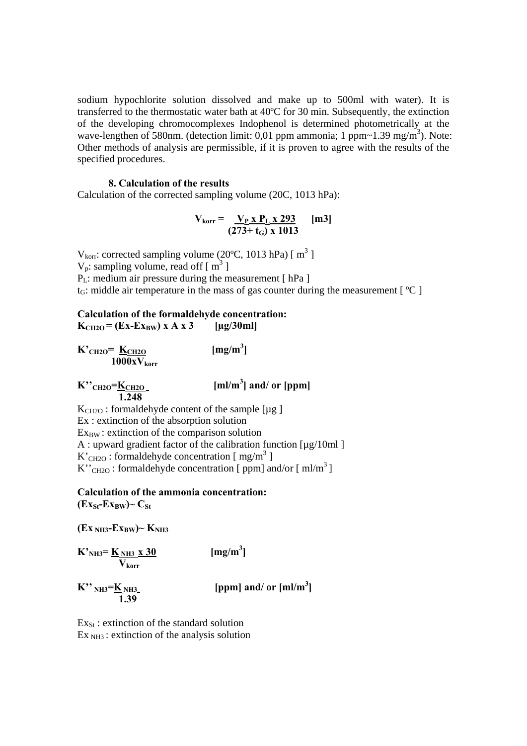sodium hypochlorite solution dissolved and make up to 500ml with water). It is transferred to the thermostatic water bath at 40ºC for 30 min. Subsequently, the extinction of the developing chromocomplexes Indophenol is determined photometrically at the wave-lengthen of 580nm. (detection limit:  $0.01$  ppm ammonia; 1 ppm~1.39 mg/m<sup>3</sup>). Note: Other methods of analysis are permissible, if it is proven to agree with the results of the specified procedures.

#### **8. Calculation of the results**

Calculation of the corrected sampling volume (20C, 1013 hPa):

$$
V_{\text{korr}} = \frac{V_{P} \times P_{L} \times 293}{(273 + t_{G}) \times 1013}
$$
 [m3]

 $V_{\text{korr}}$ : corrected sampling volume (20°C, 1013 hPa) [ $m^3$ ]  $V_p$ : sampling volume, read off [ $m^3$ ]  $P_L$ : medium air pressure during the measurement [ hPa ]  $t_G$ : middle air temperature in the mass of gas counter during the measurement  $\lceil {^{\circ}C} \rceil$ 

#### **Calculation of the formaldehyde concentration:**   $K<sub>CH2O</sub> = (Ex-Ex<sub>BW</sub>) x A x 3$  [µg/30ml]

 $\rm{K'}_{CH2O}$   $\rm{K}_{CH2O}$   $\rm{[mg/m}^3$  $[mg/m^3]$  $1000xV_{\rm korr}$ 

**K**"CH2O=**K**CH2O  **1.248** 

 $[m]/m<sup>3</sup>]$  and/ or  $[ppm]$ 

 $K<sub>CH2O</sub>$ : formaldehyde content of the sample [ $\mu$ g] Ex : extinction of the absorption solution  $Ex_{BW}$ : extinction of the comparison solution A : upward gradient factor of the calibration function  $\lceil \mu g/10m \rceil$  $\text{K}^{\prime}$ <sub>CH2O</sub>: formaldehyde concentration [ mg/m<sup>3</sup> ]  $K''$ <sub>CH2O</sub>: formaldehyde concentration [ ppm] and/or [ ml/m<sup>3</sup>]

**Calculation of the ammonia concentration:**   $(Ex<sub>St</sub>-Ex<sub>RW</sub>)~C<sub>St</sub>$ 

 $(EX_{NH3}-Ex_{BW}) \sim K_{NH3}$ 

 $\mathbf{K'}_{\text{NH3}} = \underline{\mathbf{K}}_{\text{NH3}} \times 30$  [mg/m<sup>3</sup>  $[mg/m<sup>3</sup>]$  **Vkorr** 

 $K''$  NH3= $K_{NH3}$ <br>1.39

 $\mathbf{K}^{\prime\prime}$   $_{\text{NH3}} = \underline{\mathbf{K}}$   $_{\text{NH3}}$   $_{\text{NH3}}$   $_{\text{[ppm]}}$  and/ or  $\text{[ml/m}^3\text{]}$ 

 $Ex_{St}$ : extinction of the standard solution  $Ex<sub>NH3</sub>$ : extinction of the analysis solution